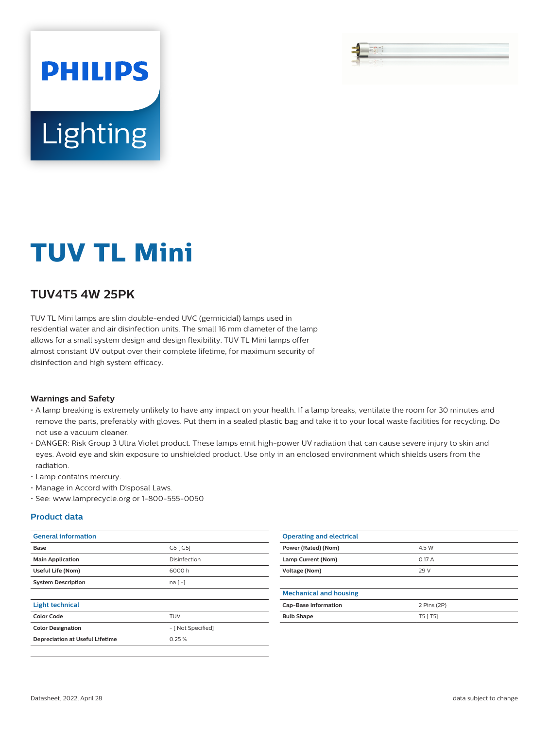# **PHILIPS** Lighting

# **TUV TL Mini**

# **TUV4T5 4W 25PK**

TUV TL Mini lamps are slim double-ended UVC (germicidal) lamps used in residential water and air disinfection units. The small 16 mm diameter of the lamp allows for a small system design and design flexibility. TUV TL Mini lamps offer almost constant UV output over their complete lifetime, for maximum security of disinfection and high system efficacy.

#### **Warnings and Safety**

- A lamp breaking is extremely unlikely to have any impact on your health. If a lamp breaks, ventilate the room for 30 minutes and remove the parts, preferably with gloves. Put them in a sealed plastic bag and take it to your local waste facilities for recycling. Do not use a vacuum cleaner.
- DANGER: Risk Group 3 Ultra Violet product. These lamps emit high-power UV radiation that can cause severe injury to skin and eyes. Avoid eye and skin exposure to unshielded product. Use only in an enclosed environment which shields users from the radiation.
- Lamp contains mercury.
- Manage in Accord with Disposal Laws.
- See: www.lamprecycle.org or 1-800-555-0050

#### **Product data**

| <b>General information</b>             |                    | <b>Operating and electrical</b> |             |
|----------------------------------------|--------------------|---------------------------------|-------------|
| Base                                   | G5 [G5]            | Power (Rated) (Nom)             | 4.5 W       |
| <b>Main Application</b>                | Disinfection       | Lamp Current (Nom)              | 0.17 A      |
| Useful Life (Nom)                      | 6000h              | Voltage (Nom)                   | 29 V        |
| <b>System Description</b>              | na [-]             |                                 |             |
|                                        |                    | <b>Mechanical and housing</b>   |             |
| <b>Light technical</b>                 |                    | <b>Cap-Base Information</b>     | 2 Pins (2P) |
| <b>Color Code</b>                      | <b>TUV</b>         | <b>Bulb Shape</b>               | $T5$ [ T5]  |
| <b>Color Designation</b>               | - [ Not Specified] |                                 |             |
| <b>Depreciation at Useful Lifetime</b> | 0.25%              |                                 |             |